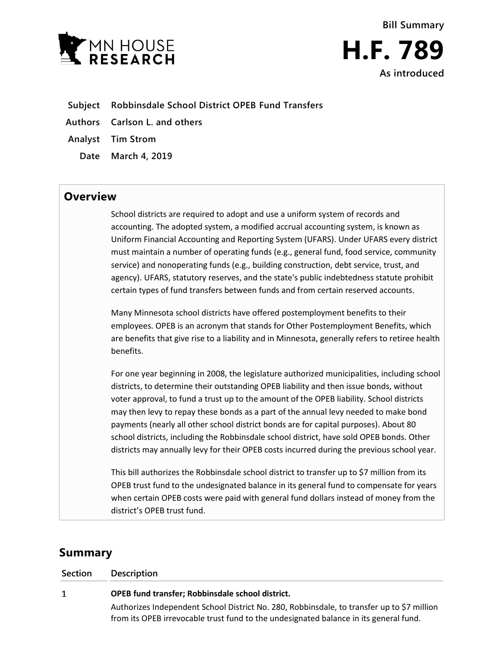

- **Subject Robbinsdale School District OPEB Fund Transfers**
- **Authors Carlson L. and others**
- **Analyst Tim Strom**
	- **Date March 4, 2019**

## **Overview**

School districts are required to adopt and use a uniform system of records and accounting. The adopted system, a modified accrual accounting system, is known as Uniform Financial Accounting and Reporting System (UFARS). Under UFARS every district must maintain a number of operating funds (e.g., general fund, food service, community service) and nonoperating funds (e.g., building construction, debt service, trust, and agency). UFARS, statutory reserves, and the state's public indebtedness statute prohibit certain types of fund transfers between funds and from certain reserved accounts.

Many Minnesota school districts have offered postemployment benefits to their employees. OPEB is an acronym that stands for Other Postemployment Benefits, which are benefits that give rise to a liability and in Minnesota, generally refers to retiree health benefits.

For one year beginning in 2008, the legislature authorized municipalities, including school districts, to determine their outstanding OPEB liability and then issue bonds, without voter approval, to fund a trust up to the amount of the OPEB liability. School districts may then levy to repay these bonds as a part of the annual levy needed to make bond payments (nearly all other school district bonds are for capital purposes). About 80 school districts, including the Robbinsdale school district, have sold OPEB bonds. Other districts may annually levy for their OPEB costs incurred during the previous school year.

This bill authorizes the Robbinsdale school district to transfer up to \$7 million from its OPEB trust fund to the undesignated balance in its general fund to compensate for years when certain OPEB costs were paid with general fund dollars instead of money from the district's OPEB trust fund.

## **Summary**

| Section | <b>Description</b>                                                                                                                                                                  |
|---------|-------------------------------------------------------------------------------------------------------------------------------------------------------------------------------------|
| 1       | OPEB fund transfer; Robbinsdale school district.                                                                                                                                    |
|         | Authorizes Independent School District No. 280, Robbinsdale, to transfer up to \$7 million<br>from its OPEB irrevocable trust fund to the undesignated balance in its general fund. |